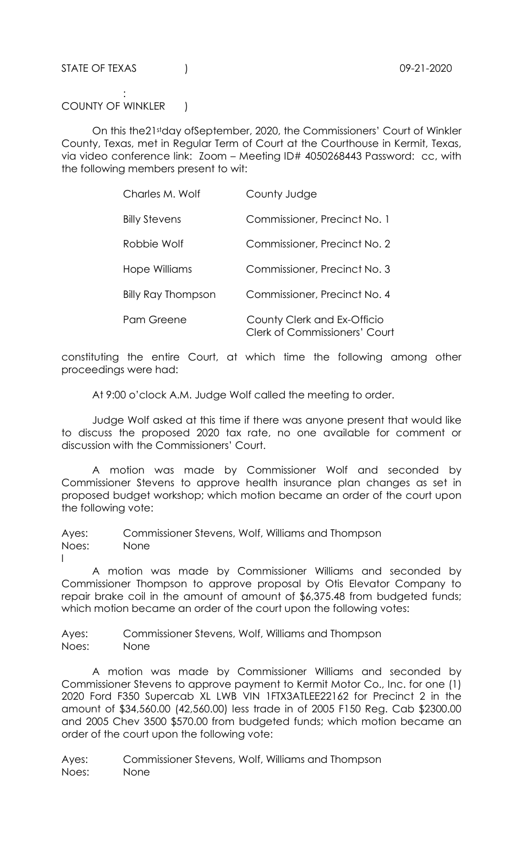STATE OF TEXAS (1994) 2020

l

: 1999 - 1999 - 1999 COUNTY OF WINKLER |

 On this the21stday ofSeptember, 2020, the Commissioners' Court of Winkler County, Texas, met in Regular Term of Court at the Courthouse in Kermit, Texas, via video conference link: Zoom – Meeting ID# 4050268443 Password: cc, with the following members present to wit:

| Charles M. Wolf           | County Judge                                                        |
|---------------------------|---------------------------------------------------------------------|
| <b>Billy Stevens</b>      | Commissioner, Precinct No. 1                                        |
| Robbie Wolf               | Commissioner, Precinct No. 2                                        |
| Hope Williams             | Commissioner, Precinct No. 3                                        |
| <b>Billy Ray Thompson</b> | Commissioner, Precinct No. 4                                        |
| Pam Greene                | County Clerk and Ex-Officio<br><b>Clerk of Commissioners' Court</b> |

constituting the entire Court, at which time the following among other proceedings were had:

At 9:00 o'clock A.M. Judge Wolf called the meeting to order.

 Judge Wolf asked at this time if there was anyone present that would like to discuss the proposed 2020 tax rate, no one available for comment or discussion with the Commissioners' Court.

 A motion was made by Commissioner Wolf and seconded by Commissioner Stevens to approve health insurance plan changes as set in proposed budget workshop; which motion became an order of the court upon the following vote:

Ayes: Commissioner Stevens, Wolf, Williams and Thompson Noes: None

 A motion was made by Commissioner Williams and seconded by Commissioner Thompson to approve proposal by Otis Elevator Company to repair brake coil in the amount of amount of \$6,375.48 from budgeted funds; which motion became an order of the court upon the following votes:

Ayes: Commissioner Stevens, Wolf, Williams and Thompson Noes: None

 A motion was made by Commissioner Williams and seconded by Commissioner Stevens to approve payment to Kermit Motor Co., Inc. for one (1) 2020 Ford F350 Supercab XL LWB VIN 1FTX3ATLEE22162 for Precinct 2 in the amount of \$34,560.00 (42,560.00) less trade in of 2005 F150 Reg. Cab \$2300.00 and 2005 Chev 3500 \$570.00 from budgeted funds; which motion became an order of the court upon the following vote:

Ayes: Commissioner Stevens, Wolf, Williams and Thompson Noes: None